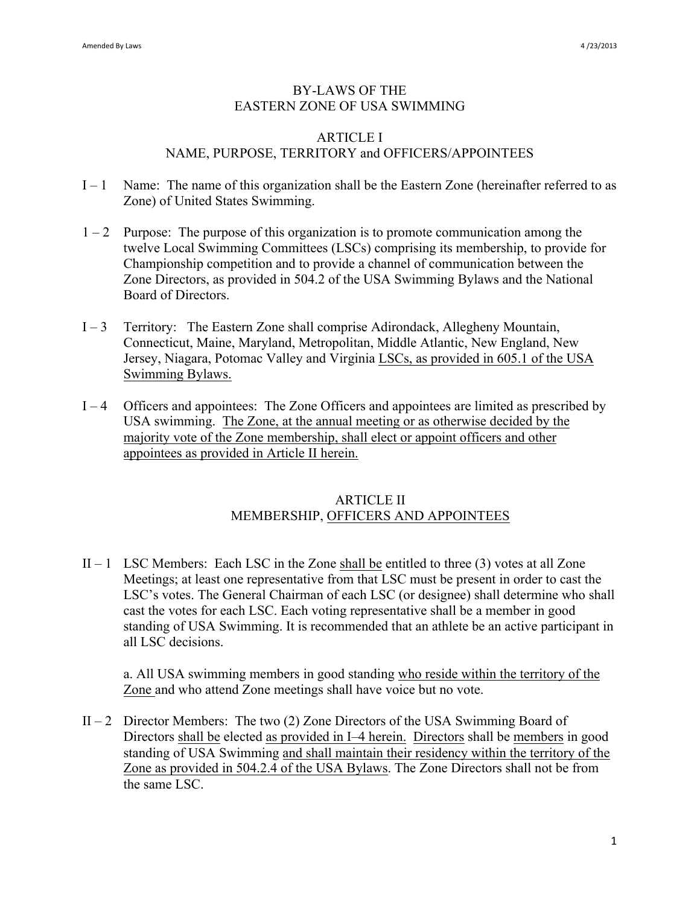#### BY-LAWS OF THE EASTERN ZONE OF USA SWIMMING

#### ARTICLE I NAME, PURPOSE, TERRITORY and OFFICERS/APPOINTEES

- $I 1$  Name: The name of this organization shall be the Eastern Zone (hereinafter referred to as Zone) of United States Swimming.
- $1 2$  Purpose: The purpose of this organization is to promote communication among the twelve Local Swimming Committees (LSCs) comprising its membership, to provide for Championship competition and to provide a channel of communication between the Zone Directors, as provided in 504.2 of the USA Swimming Bylaws and the National Board of Directors.
- I 3 Territory: The Eastern Zone shall comprise Adirondack, Allegheny Mountain, Connecticut, Maine, Maryland, Metropolitan, Middle Atlantic, New England, New Jersey, Niagara, Potomac Valley and Virginia LSCs, as provided in 605.1 of the USA Swimming Bylaws.
- I 4 Officers and appointees: The Zone Officers and appointees are limited as prescribed by USA swimming. The Zone, at the annual meeting or as otherwise decided by the majority vote of the Zone membership, shall elect or appoint officers and other appointees as provided in Article II herein.

### ARTICLE II MEMBERSHIP, OFFICERS AND APPOINTEES

 $II - 1$  LSC Members: Each LSC in the Zone shall be entitled to three (3) votes at all Zone Meetings; at least one representative from that LSC must be present in order to cast the LSC's votes. The General Chairman of each LSC (or designee) shall determine who shall cast the votes for each LSC. Each voting representative shall be a member in good standing of USA Swimming. It is recommended that an athlete be an active participant in all LSC decisions.

a. All USA swimming members in good standing who reside within the territory of the Zone and who attend Zone meetings shall have voice but no vote.

II – 2 Director Members: The two  $(2)$  Zone Directors of the USA Swimming Board of Directors shall be elected as provided in I–4 herein. Directors shall be members in good standing of USA Swimming and shall maintain their residency within the territory of the Zone as provided in 504.2.4 of the USA Bylaws. The Zone Directors shall not be from the same LSC.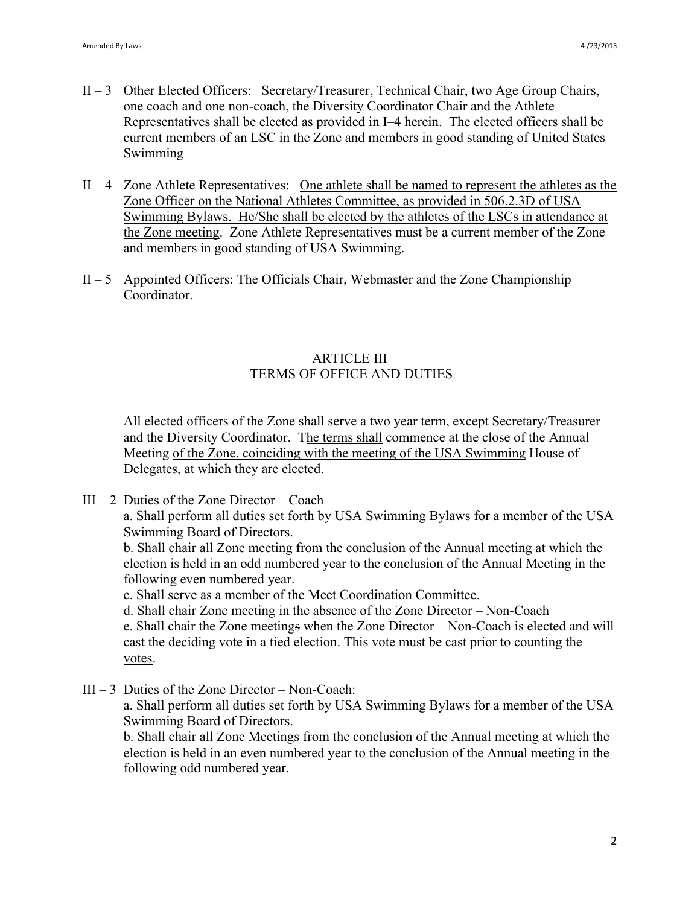- II 3 Other Elected Officers: Secretary/Treasurer, Technical Chair, two Age Group Chairs, one coach and one non-coach, the Diversity Coordinator Chair and the Athlete Representatives shall be elected as provided in I–4 herein. The elected officers shall be current members of an LSC in the Zone and members in good standing of United States Swimming
- $II 4$  Zone Athlete Representatives: One athlete shall be named to represent the athletes as the Zone Officer on the National Athletes Committee, as provided in 506.2.3D of USA Swimming Bylaws. He/She shall be elected by the athletes of the LSCs in attendance at the Zone meeting. Zone Athlete Representatives must be a current member of the Zone and members in good standing of USA Swimming.
- $II 5$  Appointed Officers: The Officials Chair, Webmaster and the Zone Championship Coordinator.

# ARTICLE III TERMS OF OFFICE AND DUTIES

All elected officers of the Zone shall serve a two year term, except Secretary/Treasurer and the Diversity Coordinator. The terms shall commence at the close of the Annual Meeting of the Zone, coinciding with the meeting of the USA Swimming House of Delegates, at which they are elected.

 $III - 2$  Duties of the Zone Director – Coach

a. Shall perform all duties set forth by USA Swimming Bylaws for a member of the USA Swimming Board of Directors.

b. Shall chair all Zone meeting from the conclusion of the Annual meeting at which the election is held in an odd numbered year to the conclusion of the Annual Meeting in the following even numbered year.

c. Shall serve as a member of the Meet Coordination Committee.

d. Shall chair Zone meeting in the absence of the Zone Director – Non-Coach

e. Shall chair the Zone meetings when the Zone Director – Non-Coach is elected and will cast the deciding vote in a tied election. This vote must be cast prior to counting the votes.

 $III - 3$  Duties of the Zone Director – Non-Coach:

a. Shall perform all duties set forth by USA Swimming Bylaws for a member of the USA Swimming Board of Directors.

b. Shall chair all Zone Meetings from the conclusion of the Annual meeting at which the election is held in an even numbered year to the conclusion of the Annual meeting in the following odd numbered year.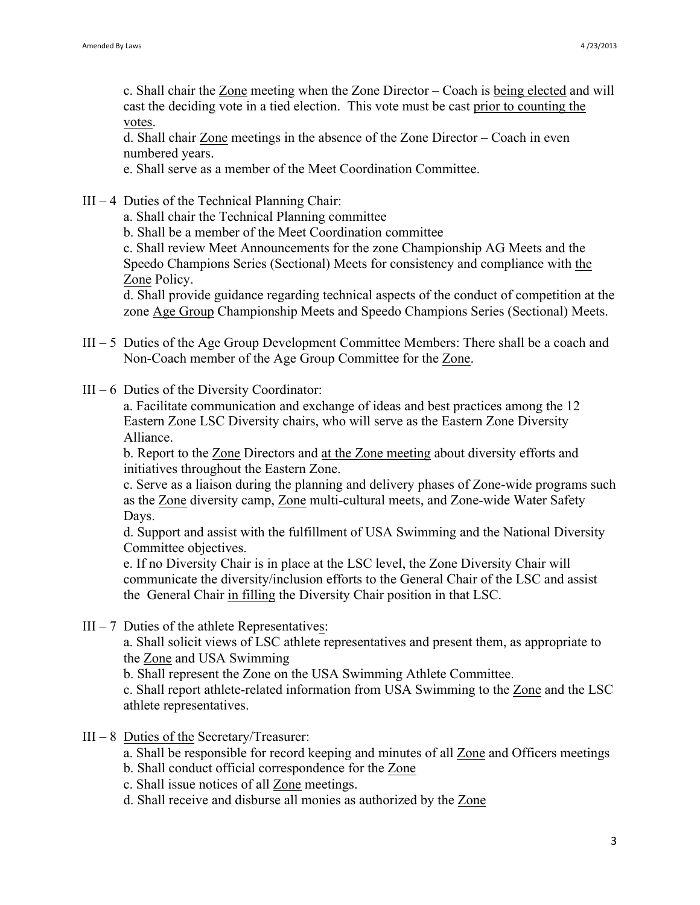c. Shall chair the Zone meeting when the Zone Director – Coach is being elected and will cast the deciding vote in a tied election. This vote must be cast prior to counting the votes.

d. Shall chair Zone meetings in the absence of the Zone Director – Coach in even numbered years.

e. Shall serve as a member of the Meet Coordination Committee.

- $III 4$  Duties of the Technical Planning Chair:
	- a. Shall chair the Technical Planning committee
	- b. Shall be a member of the Meet Coordination committee

c. Shall review Meet Announcements for the zone Championship AG Meets and the Speedo Champions Series (Sectional) Meets for consistency and compliance with the Zone Policy.

d. Shall provide guidance regarding technical aspects of the conduct of competition at the zone Age Group Championship Meets and Speedo Champions Series (Sectional) Meets.

- III 5 Duties of the Age Group Development Committee Members: There shall be a coach and Non-Coach member of the Age Group Committee for the Zone.
- $III 6$  Duties of the Diversity Coordinator:

a. Facilitate communication and exchange of ideas and best practices among the 12 Eastern Zone LSC Diversity chairs, who will serve as the Eastern Zone Diversity Alliance.

b. Report to the Zone Directors and at the Zone meeting about diversity efforts and initiatives throughout the Eastern Zone.

c. Serve as a liaison during the planning and delivery phases of Zone-wide programs such as the Zone diversity camp, Zone multi-cultural meets, and Zone-wide Water Safety Days.

d. Support and assist with the fulfillment of USA Swimming and the National Diversity Committee objectives.

e. If no Diversity Chair is in place at the LSC level, the Zone Diversity Chair will communicate the diversity/inclusion efforts to the General Chair of the LSC and assist the General Chair in filling the Diversity Chair position in that LSC.

 $III - 7$  Duties of the athlete Representatives:

a. Shall solicit views of LSC athlete representatives and present them, as appropriate to the Zone and USA Swimming

b. Shall represent the Zone on the USA Swimming Athlete Committee.

c. Shall report athlete-related information from USA Swimming to the Zone and the LSC athlete representatives.

- III 8 Duties of the Secretary/Treasurer:
	- a. Shall be responsible for record keeping and minutes of all Zone and Officers meetings
	- b. Shall conduct official correspondence for the Zone
	- c. Shall issue notices of all Zone meetings.
	- d. Shall receive and disburse all monies as authorized by the Zone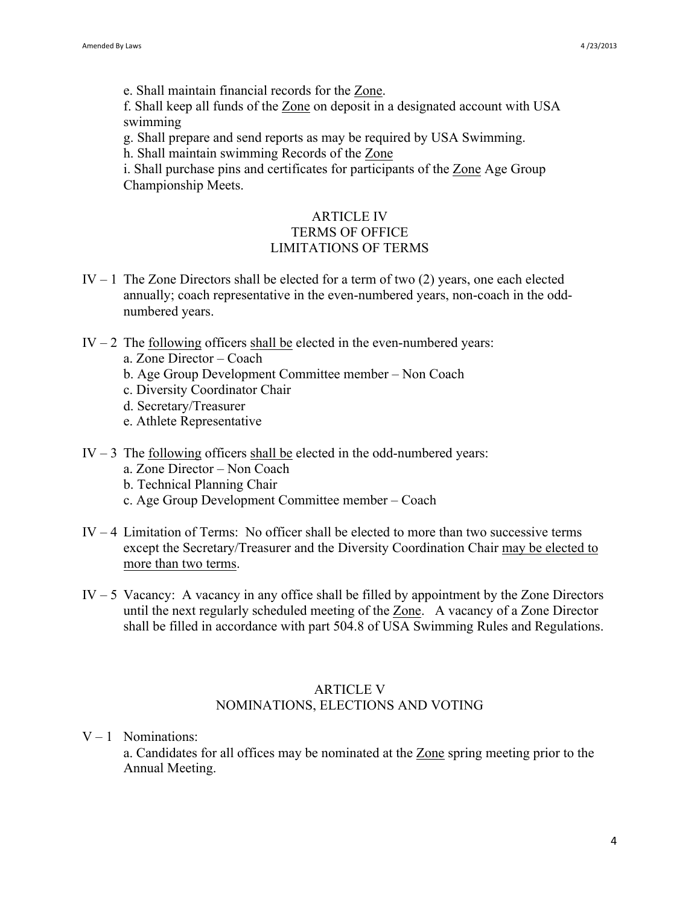e. Shall maintain financial records for the Zone.

f. Shall keep all funds of the Zone on deposit in a designated account with USA swimming

g. Shall prepare and send reports as may be required by USA Swimming.

h. Shall maintain swimming Records of the Zone

i. Shall purchase pins and certificates for participants of the Zone Age Group Championship Meets.

## ARTICLE IV TERMS OF OFFICE LIMITATIONS OF TERMS

- IV  $-1$  The Zone Directors shall be elected for a term of two (2) years, one each elected annually; coach representative in the even-numbered years, non-coach in the oddnumbered years.
- IV  $-2$  The following officers shall be elected in the even-numbered years:
	- a. Zone Director Coach
	- b. Age Group Development Committee member Non Coach
	- c. Diversity Coordinator Chair
	- d. Secretary/Treasurer
	- e. Athlete Representative
- IV  $-3$  The following officers shall be elected in the odd-numbered years:
	- a. Zone Director Non Coach
	- b. Technical Planning Chair
	- c. Age Group Development Committee member Coach
- IV 4 Limitation of Terms: No officer shall be elected to more than two successive terms except the Secretary/Treasurer and the Diversity Coordination Chair may be elected to more than two terms.
- IV 5 Vacancy: A vacancy in any office shall be filled by appointment by the Zone Directors until the next regularly scheduled meeting of the Zone. A vacancy of a Zone Director shall be filled in accordance with part 504.8 of USA Swimming Rules and Regulations.

#### ARTICLE V

## NOMINATIONS, ELECTIONS AND VOTING

 $V - 1$  Nominations:

a. Candidates for all offices may be nominated at the Zone spring meeting prior to the Annual Meeting.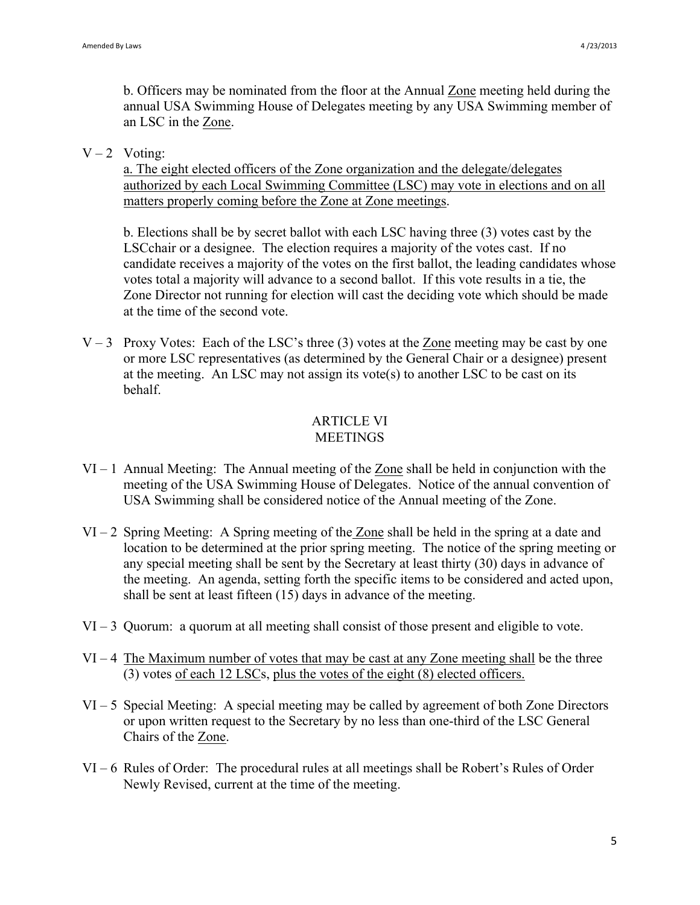b. Officers may be nominated from the floor at the Annual Zone meeting held during the annual USA Swimming House of Delegates meeting by any USA Swimming member of an LSC in the Zone.

 $V - 2$  Voting:

a. The eight elected officers of the Zone organization and the delegate/delegates authorized by each Local Swimming Committee (LSC) may vote in elections and on all matters properly coming before the Zone at Zone meetings.

b. Elections shall be by secret ballot with each LSC having three (3) votes cast by the LSCchair or a designee. The election requires a majority of the votes cast. If no candidate receives a majority of the votes on the first ballot, the leading candidates whose votes total a majority will advance to a second ballot. If this vote results in a tie, the Zone Director not running for election will cast the deciding vote which should be made at the time of the second vote.

 $V - 3$  Proxy Votes: Each of the LSC's three (3) votes at the Zone meeting may be cast by one or more LSC representatives (as determined by the General Chair or a designee) present at the meeting. An LSC may not assign its vote(s) to another LSC to be cast on its behalf.

## ARTICLE VI **MEETINGS**

- VI 1 Annual Meeting: The Annual meeting of the Zone shall be held in conjunction with the meeting of the USA Swimming House of Delegates. Notice of the annual convention of USA Swimming shall be considered notice of the Annual meeting of the Zone.
- VI 2 Spring Meeting: A Spring meeting of the Zone shall be held in the spring at a date and location to be determined at the prior spring meeting. The notice of the spring meeting or any special meeting shall be sent by the Secretary at least thirty (30) days in advance of the meeting. An agenda, setting forth the specific items to be considered and acted upon, shall be sent at least fifteen (15) days in advance of the meeting.
- VI 3 Quorum: a quorum at all meeting shall consist of those present and eligible to vote.
- VI 4 The Maximum number of votes that may be cast at any Zone meeting shall be the three (3) votes of each 12 LSCs, plus the votes of the eight (8) elected officers.
- VI 5 Special Meeting: A special meeting may be called by agreement of both Zone Directors or upon written request to the Secretary by no less than one-third of the LSC General Chairs of the Zone.
- VI 6 Rules of Order: The procedural rules at all meetings shall be Robert's Rules of Order Newly Revised, current at the time of the meeting.